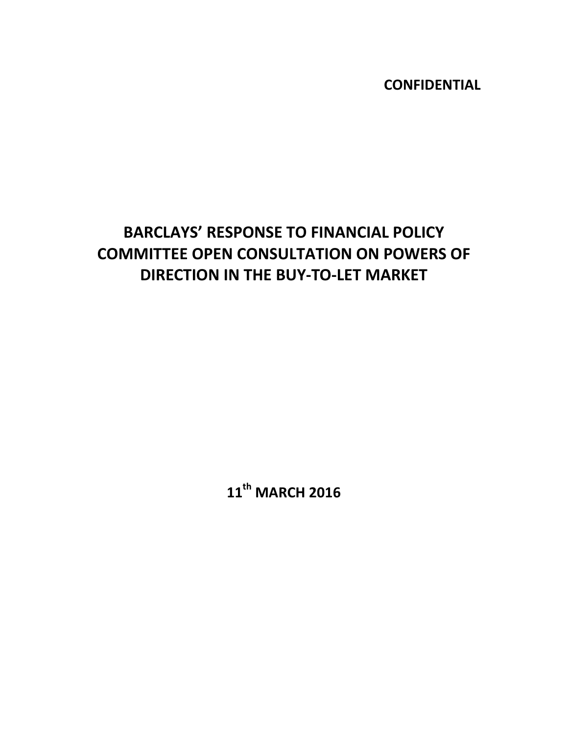**CONFIDENTIAL**

# **BARCLAYS' RESPONSE TO FINANCIAL POLICY COMMITTEE OPEN CONSULTATION ON POWERS OF DIRECTION IN THE BUY‐TO‐LET MARKET**

**11th MARCH 2016**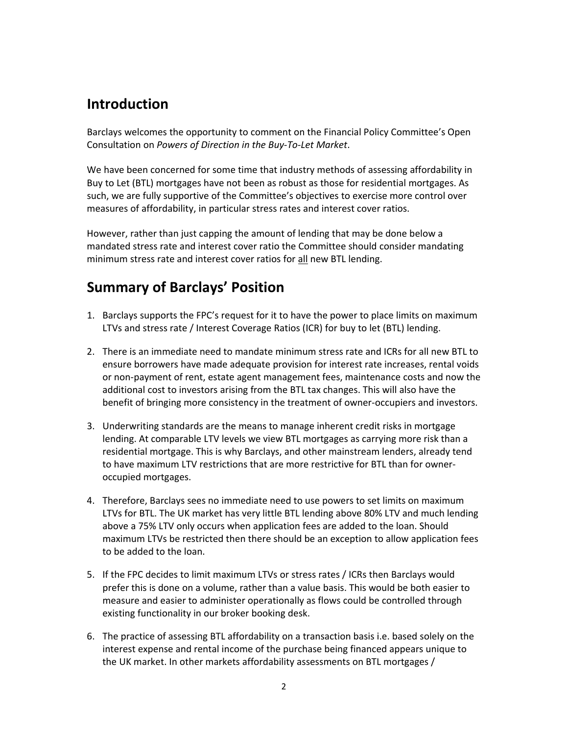# **Introduction**

Barclays welcomes the opportunity to comment on the Financial Policy Committee's Open Consultation on *Powers of Direction in the Buy‐To‐Let Market*.

We have been concerned for some time that industry methods of assessing affordability in Buy to Let (BTL) mortgages have not been as robust as those for residential mortgages. As such, we are fully supportive of the Committee's objectives to exercise more control over measures of affordability, in particular stress rates and interest cover ratios.

However, rather than just capping the amount of lending that may be done below a mandated stress rate and interest cover ratio the Committee should consider mandating minimum stress rate and interest cover ratios for all new BTL lending.

# **Summary of Barclays' Position**

- 1. Barclays supports the FPC's request for it to have the power to place limits on maximum LTVs and stress rate / Interest Coverage Ratios (ICR) for buy to let (BTL) lending.
- 2. There is an immediate need to mandate minimum stress rate and ICRs for all new BTL to ensure borrowers have made adequate provision for interest rate increases, rental voids or non‐payment of rent, estate agent management fees, maintenance costs and now the additional cost to investors arising from the BTL tax changes. This will also have the benefit of bringing more consistency in the treatment of owner‐occupiers and investors.
- 3. Underwriting standards are the means to manage inherent credit risks in mortgage lending. At comparable LTV levels we view BTL mortgages as carrying more risk than a residential mortgage. This is why Barclays, and other mainstream lenders, already tend to have maximum LTV restrictions that are more restrictive for BTL than for owner‐ occupied mortgages.
- 4. Therefore, Barclays sees no immediate need to use powers to set limits on maximum LTVs for BTL. The UK market has very little BTL lending above 80% LTV and much lending above a 75% LTV only occurs when application fees are added to the loan. Should maximum LTVs be restricted then there should be an exception to allow application fees to be added to the loan.
- 5. If the FPC decides to limit maximum LTVs or stress rates / ICRs then Barclays would prefer this is done on a volume, rather than a value basis. This would be both easier to measure and easier to administer operationally as flows could be controlled through existing functionality in our broker booking desk.
- 6. The practice of assessing BTL affordability on a transaction basis i.e. based solely on the interest expense and rental income of the purchase being financed appears unique to the UK market. In other markets affordability assessments on BTL mortgages /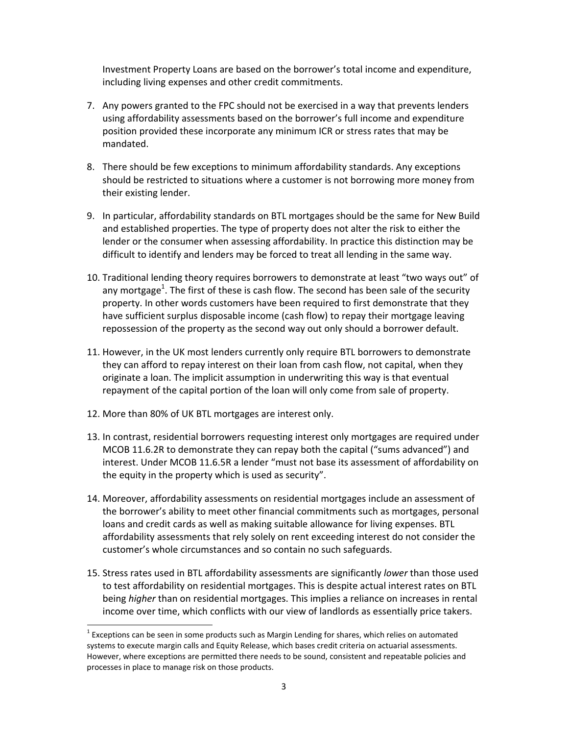Investment Property Loans are based on the borrower's total income and expenditure, including living expenses and other credit commitments.

- 7. Any powers granted to the FPC should not be exercised in a way that prevents lenders using affordability assessments based on the borrower's full income and expenditure position provided these incorporate any minimum ICR or stress rates that may be mandated.
- 8. There should be few exceptions to minimum affordability standards. Any exceptions should be restricted to situations where a customer is not borrowing more money from their existing lender.
- 9. In particular, affordability standards on BTL mortgages should be the same for New Build and established properties. The type of property does not alter the risk to either the lender or the consumer when assessing affordability. In practice this distinction may be difficult to identify and lenders may be forced to treat all lending in the same way.
- 10. Traditional lending theory requires borrowers to demonstrate at least "two ways out" of any mortgage<sup>1</sup>. The first of these is cash flow. The second has been sale of the security property. In other words customers have been required to first demonstrate that they have sufficient surplus disposable income (cash flow) to repay their mortgage leaving repossession of the property as the second way out only should a borrower default.
- 11. However, in the UK most lenders currently only require BTL borrowers to demonstrate they can afford to repay interest on their loan from cash flow, not capital, when they originate a loan. The implicit assumption in underwriting this way is that eventual repayment of the capital portion of the loan will only come from sale of property.
- 12. More than 80% of UK BTL mortgages are interest only.

- 13. In contrast, residential borrowers requesting interest only mortgages are required under MCOB 11.6.2R to demonstrate they can repay both the capital ("sums advanced") and interest. Under MCOB 11.6.5R a lender "must not base its assessment of affordability on the equity in the property which is used as security".
- 14. Moreover, affordability assessments on residential mortgages include an assessment of the borrower's ability to meet other financial commitments such as mortgages, personal loans and credit cards as well as making suitable allowance for living expenses. BTL affordability assessments that rely solely on rent exceeding interest do not consider the customer's whole circumstances and so contain no such safeguards.
- 15. Stress rates used in BTL affordability assessments are significantly *lower* than those used to test affordability on residential mortgages. This is despite actual interest rates on BTL being *higher* than on residential mortgages. This implies a reliance on increases in rental income over time, which conflicts with our view of landlords as essentially price takers.

 $1$  Exceptions can be seen in some products such as Margin Lending for shares, which relies on automated systems to execute margin calls and Equity Release, which bases credit criteria on actuarial assessments. However, where exceptions are permitted there needs to be sound, consistent and repeatable policies and processes in place to manage risk on those products.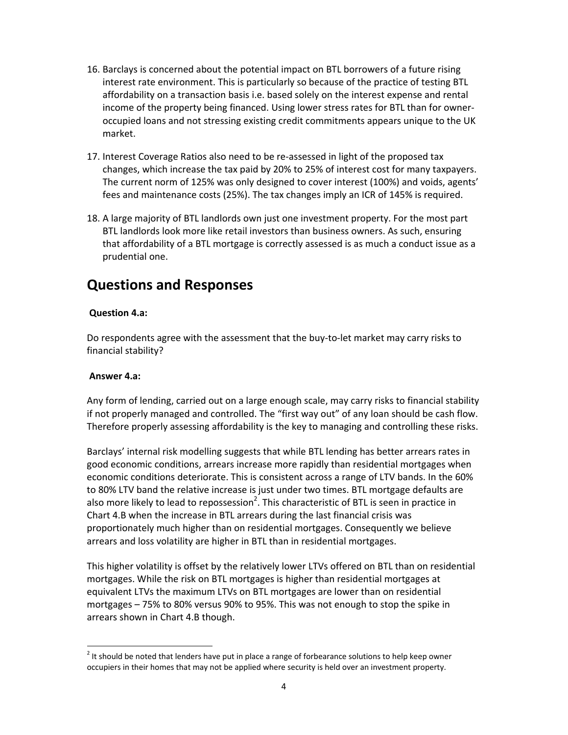- 16. Barclays is concerned about the potential impact on BTL borrowers of a future rising interest rate environment. This is particularly so because of the practice of testing BTL affordability on a transaction basis i.e. based solely on the interest expense and rental income of the property being financed. Using lower stress rates for BTL than for owner‐ occupied loans and not stressing existing credit commitments appears unique to the UK market.
- 17. Interest Coverage Ratios also need to be re‐assessed in light of the proposed tax changes, which increase the tax paid by 20% to 25% of interest cost for many taxpayers. The current norm of 125% was only designed to cover interest (100%) and voids, agents' fees and maintenance costs (25%). The tax changes imply an ICR of 145% is required.
- 18. A large majority of BTL landlords own just one investment property. For the most part BTL landlords look more like retail investors than business owners. As such, ensuring that affordability of a BTL mortgage is correctly assessed is as much a conduct issue as a prudential one.

# **Questions and Responses**

# **Question 4.a:**

Do respondents agree with the assessment that the buy‐to‐let market may carry risks to financial stability?

### **Answer 4.a:**

Any form of lending, carried out on a large enough scale, may carry risks to financial stability if not properly managed and controlled. The "first way out" of any loan should be cash flow. Therefore properly assessing affordability is the key to managing and controlling these risks.

Barclays' internal risk modelling suggests that while BTL lending has better arrears rates in good economic conditions, arrears increase more rapidly than residential mortgages when economic conditions deteriorate. This is consistent across a range of LTV bands. In the 60% to 80% LTV band the relative increase is just under two times. BTL mortgage defaults are also more likely to lead to repossession<sup>2</sup>. This characteristic of BTL is seen in practice in Chart 4.B when the increase in BTL arrears during the last financial crisis was proportionately much higher than on residential mortgages. Consequently we believe arrears and loss volatility are higher in BTL than in residential mortgages.

This higher volatility is offset by the relatively lower LTVs offered on BTL than on residential mortgages. While the risk on BTL mortgages is higher than residential mortgages at equivalent LTVs the maximum LTVs on BTL mortgages are lower than on residential mortgages – 75% to 80% versus 90% to 95%. This was not enough to stop the spike in arrears shown in Chart 4.B though.

 $2$  It should be noted that lenders have put in place a range of forbearance solutions to help keep owner occupiers in their homes that may not be applied where security is held over an investment property.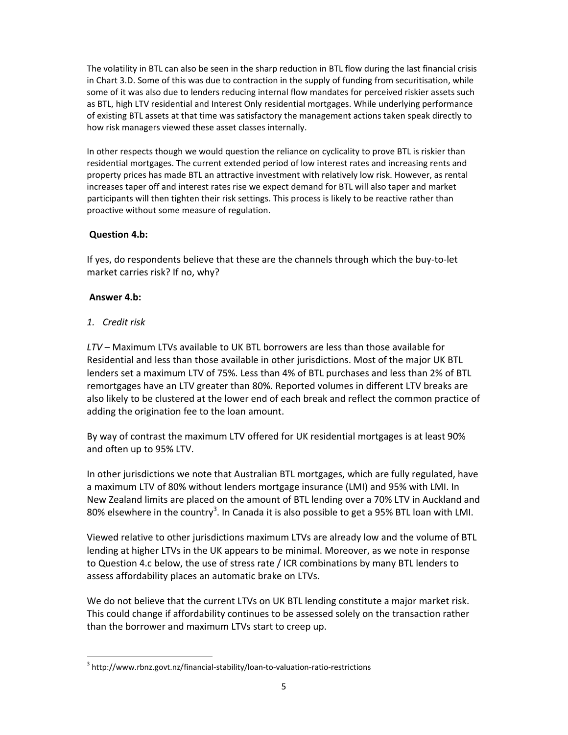The volatility in BTL can also be seen in the sharp reduction in BTL flow during the last financial crisis in Chart 3.D. Some of this was due to contraction in the supply of funding from securitisation, while some of it was also due to lenders reducing internal flow mandates for perceived riskier assets such as BTL, high LTV residential and Interest Only residential mortgages. While underlying performance of existing BTL assets at that time was satisfactory the management actions taken speak directly to how risk managers viewed these asset classes internally.

In other respects though we would question the reliance on cyclicality to prove BTL is riskier than residential mortgages. The current extended period of low interest rates and increasing rents and property prices has made BTL an attractive investment with relatively low risk. However, as rental increases taper off and interest rates rise we expect demand for BTL will also taper and market participants will then tighten their risk settings. This process is likely to be reactive rather than proactive without some measure of regulation.

# **Question 4.b:**

If yes, do respondents believe that these are the channels through which the buy‐to‐let market carries risk? If no, why?

# **Answer 4.b:**

*1. Credit risk*

*LTV* – Maximum LTVs available to UK BTL borrowers are less than those available for Residential and less than those available in other jurisdictions. Most of the major UK BTL lenders set a maximum LTV of 75%. Less than 4% of BTL purchases and less than 2% of BTL remortgages have an LTV greater than 80%. Reported volumes in different LTV breaks are also likely to be clustered at the lower end of each break and reflect the common practice of adding the origination fee to the loan amount.

By way of contrast the maximum LTV offered for UK residential mortgages is at least 90% and often up to 95% LTV.

In other jurisdictions we note that Australian BTL mortgages, which are fully regulated, have a maximum LTV of 80% without lenders mortgage insurance (LMI) and 95% with LMI. In New Zealand limits are placed on the amount of BTL lending over a 70% LTV in Auckland and 80% elsewhere in the country<sup>3</sup>. In Canada it is also possible to get a 95% BTL loan with LMI.

Viewed relative to other jurisdictions maximum LTVs are already low and the volume of BTL lending at higher LTVs in the UK appears to be minimal. Moreover, as we note in response to Question 4.c below, the use of stress rate / ICR combinations by many BTL lenders to assess affordability places an automatic brake on LTVs.

We do not believe that the current LTVs on UK BTL lending constitute a major market risk. This could change if affordability continues to be assessed solely on the transaction rather than the borrower and maximum LTVs start to creep up.

 <sup>3</sup> http://www.rbnz.govt.nz/financial-stability/loan-to-valuation-ratio-restrictions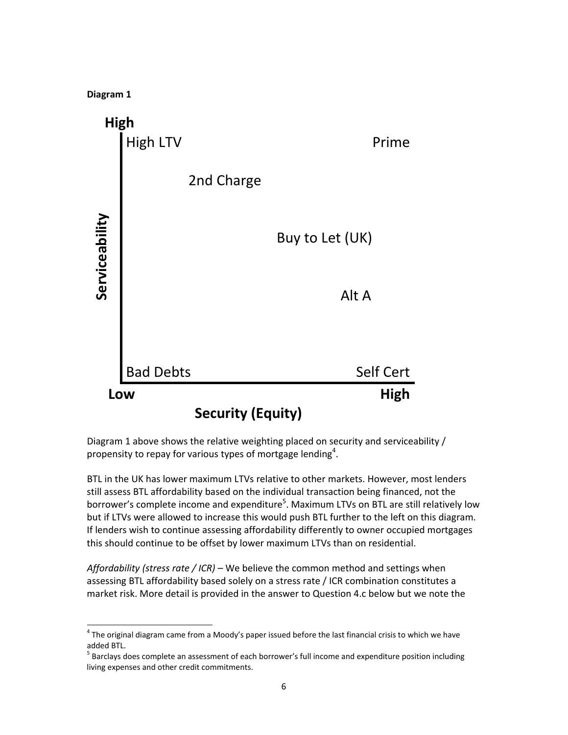

Diagram 1 above shows the relative weighting placed on security and serviceability / propensity to repay for various types of mortgage lending<sup>4</sup>.

BTL in the UK has lower maximum LTVs relative to other markets. However, most lenders still assess BTL affordability based on the individual transaction being financed, not the borrower's complete income and expenditure<sup>5</sup>. Maximum LTVs on BTL are still relatively low but if LTVs were allowed to increase this would push BTL further to the left on this diagram. If lenders wish to continue assessing affordability differently to owner occupied mortgages this should continue to be offset by lower maximum LTVs than on residential.

*Affordability (stress rate / ICR)* – We believe the common method and settings when assessing BTL affordability based solely on a stress rate / ICR combination constitutes a market risk. More detail is provided in the answer to Question 4.c below but we note the

 $4$  The original diagram came from a Moody's paper issued before the last financial crisis to which we have

added BTL.<br><sup>5</sup> Barclays does complete an assessment of each borrower's full income and expenditure position including living expenses and other credit commitments.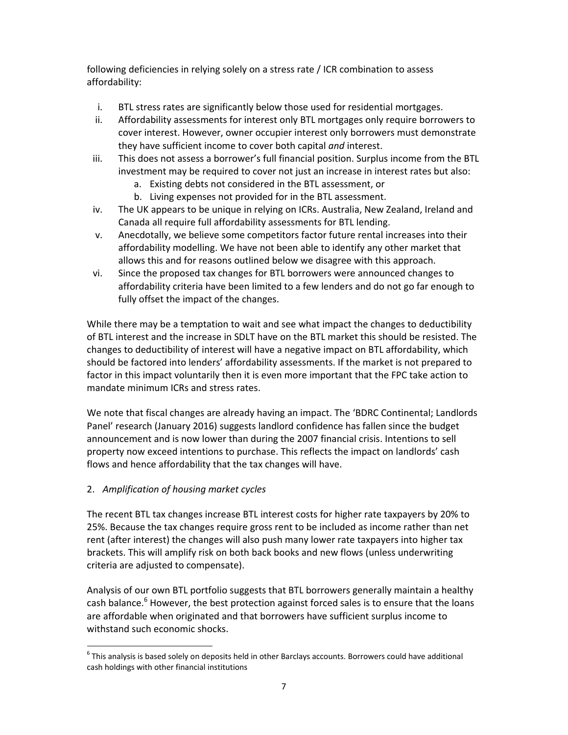following deficiencies in relying solely on a stress rate / ICR combination to assess affordability:

- i. BTL stress rates are significantly below those used for residential mortgages.
- ii. Affordability assessments for interest only BTL mortgages only require borrowers to cover interest. However, owner occupier interest only borrowers must demonstrate they have sufficient income to cover both capital *and* interest.
- iii. This does not assess a borrower's full financial position. Surplus income from the BTL investment may be required to cover not just an increase in interest rates but also:
	- a. Existing debts not considered in the BTL assessment, or
	- b. Living expenses not provided for in the BTL assessment.
- iv. The UK appears to be unique in relying on ICRs. Australia, New Zealand, Ireland and Canada all require full affordability assessments for BTL lending.
- v. Anecdotally, we believe some competitors factor future rental increases into their affordability modelling. We have not been able to identify any other market that allows this and for reasons outlined below we disagree with this approach.
- vi. Since the proposed tax changes for BTL borrowers were announced changes to affordability criteria have been limited to a few lenders and do not go far enough to fully offset the impact of the changes.

While there may be a temptation to wait and see what impact the changes to deductibility of BTL interest and the increase in SDLT have on the BTL market this should be resisted. The changes to deductibility of interest will have a negative impact on BTL affordability, which should be factored into lenders' affordability assessments. If the market is not prepared to factor in this impact voluntarily then it is even more important that the FPC take action to mandate minimum ICRs and stress rates.

We note that fiscal changes are already having an impact. The 'BDRC Continental; Landlords Panel' research (January 2016) suggests landlord confidence has fallen since the budget announcement and is now lower than during the 2007 financial crisis. Intentions to sell property now exceed intentions to purchase. This reflects the impact on landlords' cash flows and hence affordability that the tax changes will have.

# 2. *Amplification of housing market cycles*

The recent BTL tax changes increase BTL interest costs for higher rate taxpayers by 20% to 25%. Because the tax changes require gross rent to be included as income rather than net rent (after interest) the changes will also push many lower rate taxpayers into higher tax brackets. This will amplify risk on both back books and new flows (unless underwriting criteria are adjusted to compensate).

Analysis of our own BTL portfolio suggests that BTL borrowers generally maintain a healthy cash balance.<sup>6</sup> However, the best protection against forced sales is to ensure that the loans are affordable when originated and that borrowers have sufficient surplus income to withstand such economic shocks.

  $<sup>6</sup>$  This analysis is based solely on deposits held in other Barclays accounts. Borrowers could have additional</sup> cash holdings with other financial institutions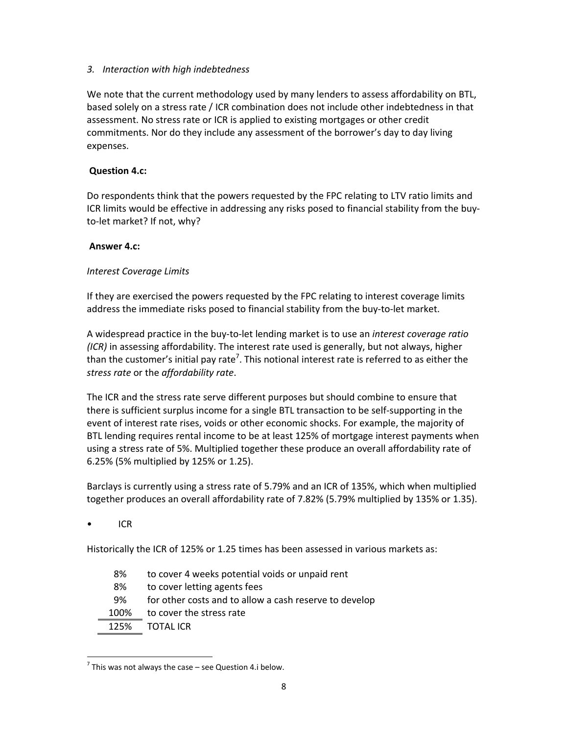# *3. Interaction with high indebtedness*

We note that the current methodology used by many lenders to assess affordability on BTL, based solely on a stress rate / ICR combination does not include other indebtedness in that assessment. No stress rate or ICR is applied to existing mortgages or other credit commitments. Nor do they include any assessment of the borrower's day to day living expenses.

# **Question 4.c:**

Do respondents think that the powers requested by the FPC relating to LTV ratio limits and ICR limits would be effective in addressing any risks posed to financial stability from the buy‐ to‐let market? If not, why?

# **Answer 4.c:**

# *Interest Coverage Limits*

If they are exercised the powers requested by the FPC relating to interest coverage limits address the immediate risks posed to financial stability from the buy‐to‐let market.

A widespread practice in the buy‐to‐let lending market is to use an *interest coverage ratio (ICR)* in assessing affordability. The interest rate used is generally, but not always, higher than the customer's initial pay rate<sup>7</sup>. This notional interest rate is referred to as either the *stress rate* or the *affordability rate*.

The ICR and the stress rate serve different purposes but should combine to ensure that there is sufficient surplus income for a single BTL transaction to be self‐supporting in the event of interest rate rises, voids or other economic shocks. For example, the majority of BTL lending requires rental income to be at least 125% of mortgage interest payments when using a stress rate of 5%. Multiplied together these produce an overall affordability rate of 6.25% (5% multiplied by 125% or 1.25).

Barclays is currently using a stress rate of 5.79% and an ICR of 135%, which when multiplied together produces an overall affordability rate of 7.82% (5.79% multiplied by 135% or 1.35).

• ICR

Historically the ICR of 125% or 1.25 times has been assessed in various markets as:

- 8% to cover 4 weeks potential voids or unpaid rent
- 8% to cover letting agents fees
- 9% for other costs and to allow a cash reserve to develop
- 100% to cover the stress rate
- 125% TOTAL ICR

  $<sup>7</sup>$  This was not always the case – see Question 4.i below.</sup>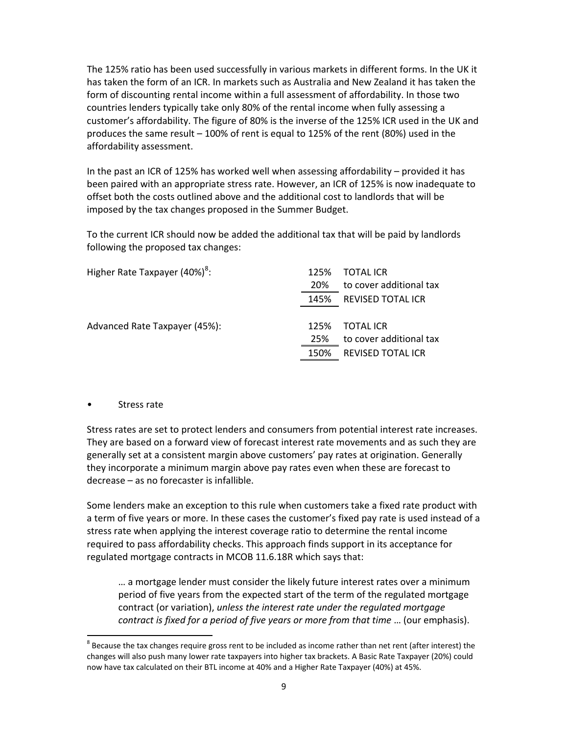The 125% ratio has been used successfully in various markets in different forms. In the UK it has taken the form of an ICR. In markets such as Australia and New Zealand it has taken the form of discounting rental income within a full assessment of affordability. In those two countries lenders typically take only 80% of the rental income when fully assessing a customer's affordability. The figure of 80% is the inverse of the 125% ICR used in the UK and produces the same result – 100% of rent is equal to 125% of the rent (80%) used in the affordability assessment.

In the past an ICR of 125% has worked well when assessing affordability – provided it has been paired with an appropriate stress rate. However, an ICR of 125% is now inadequate to offset both the costs outlined above and the additional cost to landlords that will be imposed by the tax changes proposed in the Summer Budget.

To the current ICR should now be added the additional tax that will be paid by landlords following the proposed tax changes:

| Higher Rate Taxpayer (40%) <sup>8</sup> : | 125% | <b>TOTAL ICR</b>         |
|-------------------------------------------|------|--------------------------|
|                                           | 20%  | to cover additional tax  |
|                                           | 145% | REVISED TOTAL ICR        |
|                                           |      |                          |
| Advanced Rate Taxpayer (45%):             | 125% | <b>TOTAL ICR</b>         |
|                                           | 25%  | to cover additional tax  |
|                                           | 150% | <b>REVISED TOTAL ICR</b> |
|                                           |      |                          |

#### • Stress rate

Stress rates are set to protect lenders and consumers from potential interest rate increases. They are based on a forward view of forecast interest rate movements and as such they are generally set at a consistent margin above customers' pay rates at origination. Generally they incorporate a minimum margin above pay rates even when these are forecast to decrease – as no forecaster is infallible.

Some lenders make an exception to this rule when customers take a fixed rate product with a term of five years or more. In these cases the customer's fixed pay rate is used instead of a stress rate when applying the interest coverage ratio to determine the rental income required to pass affordability checks. This approach finds support in its acceptance for regulated mortgage contracts in MCOB 11.6.18R which says that:

… a mortgage lender must consider the likely future interest rates over a minimum period of five years from the expected start of the term of the regulated mortgage contract (or variation), *unless the interest rate under the regulated mortgage contract is fixed for a period of five years or more from that time* … (our emphasis).

 $8$  Because the tax changes require gross rent to be included as income rather than net rent (after interest) the changes will also push many lower rate taxpayers into higher tax brackets. A Basic Rate Taxpayer (20%) could now have tax calculated on their BTL income at 40% and a Higher Rate Taxpayer (40%) at 45%.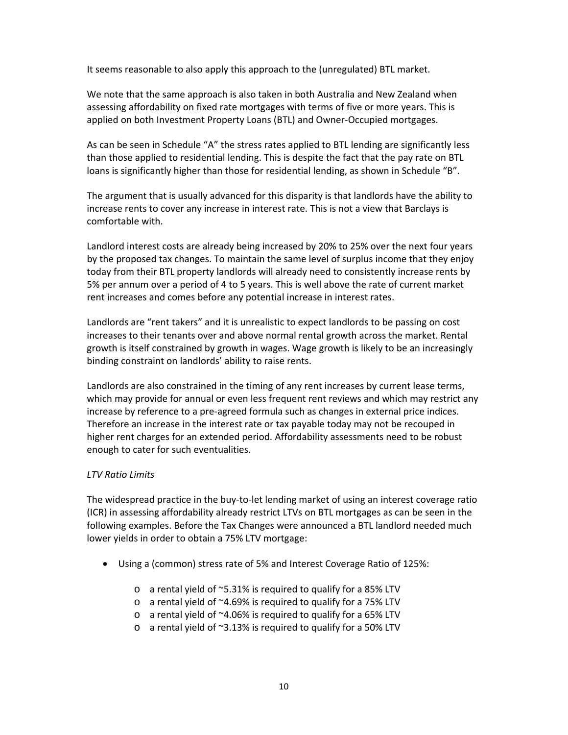It seems reasonable to also apply this approach to the (unregulated) BTL market.

We note that the same approach is also taken in both Australia and New Zealand when assessing affordability on fixed rate mortgages with terms of five or more years. This is applied on both Investment Property Loans (BTL) and Owner‐Occupied mortgages.

As can be seen in Schedule "A" the stress rates applied to BTL lending are significantly less than those applied to residential lending. This is despite the fact that the pay rate on BTL loans is significantly higher than those for residential lending, as shown in Schedule "B".

The argument that is usually advanced for this disparity is that landlords have the ability to increase rents to cover any increase in interest rate. This is not a view that Barclays is comfortable with.

Landlord interest costs are already being increased by 20% to 25% over the next four years by the proposed tax changes. To maintain the same level of surplus income that they enjoy today from their BTL property landlords will already need to consistently increase rents by 5% per annum over a period of 4 to 5 years. This is well above the rate of current market rent increases and comes before any potential increase in interest rates.

Landlords are "rent takers" and it is unrealistic to expect landlords to be passing on cost increases to their tenants over and above normal rental growth across the market. Rental growth is itself constrained by growth in wages. Wage growth is likely to be an increasingly binding constraint on landlords' ability to raise rents.

Landlords are also constrained in the timing of any rent increases by current lease terms, which may provide for annual or even less frequent rent reviews and which may restrict any increase by reference to a pre‐agreed formula such as changes in external price indices. Therefore an increase in the interest rate or tax payable today may not be recouped in higher rent charges for an extended period. Affordability assessments need to be robust enough to cater for such eventualities.

# *LTV Ratio Limits*

The widespread practice in the buy-to-let lending market of using an interest coverage ratio (ICR) in assessing affordability already restrict LTVs on BTL mortgages as can be seen in the following examples. Before the Tax Changes were announced a BTL landlord needed much lower yields in order to obtain a 75% LTV mortgage:

- Using a (common) stress rate of 5% and Interest Coverage Ratio of 125%:
	- o a rental yield of ~5.31% is required to qualify for a 85% LTV
	- o a rental yield of ~4.69% is required to qualify for a 75% LTV
	- o a rental yield of ~4.06% is required to qualify for a 65% LTV
	- o a rental yield of ~3.13% is required to qualify for a 50% LTV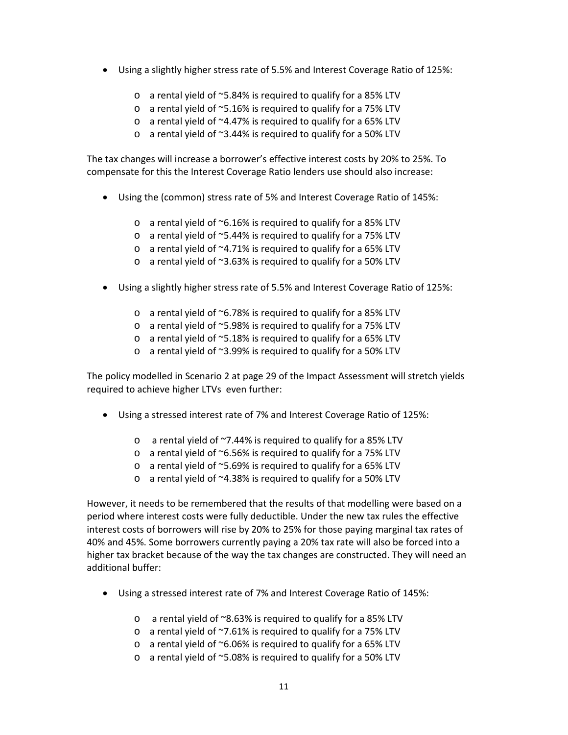- Using a slightly higher stress rate of 5.5% and Interest Coverage Ratio of 125%:
	- o a rental yield of ~5.84% is required to qualify for a 85% LTV
	- o a rental yield of ~5.16% is required to qualify for a 75% LTV
	- $\circ$  a rental yield of  $\sim$ 4.47% is required to qualify for a 65% LTV
	- o a rental yield of ~3.44% is required to qualify for a 50% LTV

The tax changes will increase a borrower's effective interest costs by 20% to 25%. To compensate for this the Interest Coverage Ratio lenders use should also increase:

- Using the (common) stress rate of 5% and Interest Coverage Ratio of 145%:
	- o a rental yield of ~6.16% is required to qualify for a 85% LTV
	- o a rental yield of ~5.44% is required to qualify for a 75% LTV
	- o a rental yield of ~4.71% is required to qualify for a 65% LTV
	- o a rental yield of ~3.63% is required to qualify for a 50% LTV
- Using a slightly higher stress rate of 5.5% and Interest Coverage Ratio of 125%:
	- $\circ$  a rental yield of  $\sim$ 6.78% is required to qualify for a 85% LTV
	- o a rental yield of ~5.98% is required to qualify for a 75% LTV
	- o a rental yield of ~5.18% is required to qualify for a 65% LTV
	- o a rental yield of ~3.99% is required to qualify for a 50% LTV

The policy modelled in Scenario 2 at page 29 of the Impact Assessment will stretch yields required to achieve higher LTVs even further:

- Using a stressed interest rate of 7% and Interest Coverage Ratio of 125%:
	- o a rental yield of ~7.44% is required to qualify for a 85% LTV
	- o a rental yield of ~6.56% is required to qualify for a 75% LTV
	- o a rental yield of ~5.69% is required to qualify for a 65% LTV
	- o a rental yield of ~4.38% is required to qualify for a 50% LTV

However, it needs to be remembered that the results of that modelling were based on a period where interest costs were fully deductible. Under the new tax rules the effective interest costs of borrowers will rise by 20% to 25% for those paying marginal tax rates of 40% and 45%. Some borrowers currently paying a 20% tax rate will also be forced into a higher tax bracket because of the way the tax changes are constructed. They will need an additional buffer:

- Using a stressed interest rate of 7% and Interest Coverage Ratio of 145%:
	- o a rental yield of ~8.63% is required to qualify for a 85% LTV
	- o a rental yield of ~7.61% is required to qualify for a 75% LTV
	- o a rental yield of ~6.06% is required to qualify for a 65% LTV
	- o a rental yield of ~5.08% is required to qualify for a 50% LTV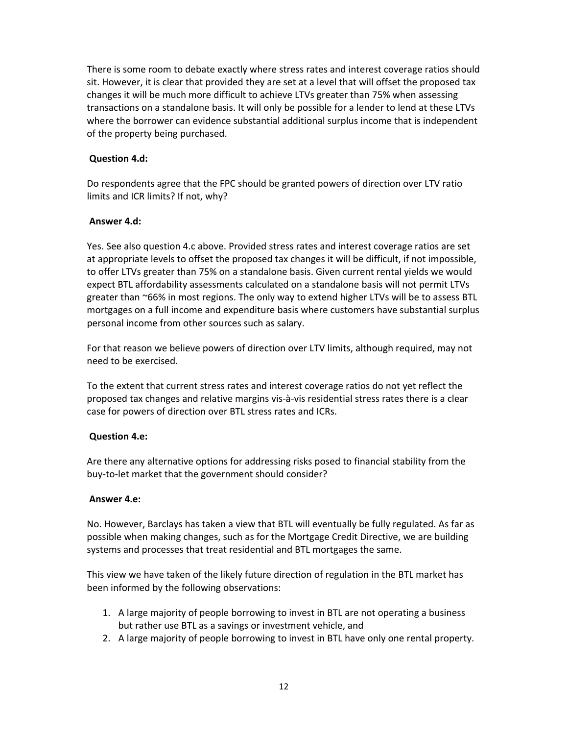There is some room to debate exactly where stress rates and interest coverage ratios should sit. However, it is clear that provided they are set at a level that will offset the proposed tax changes it will be much more difficult to achieve LTVs greater than 75% when assessing transactions on a standalone basis. It will only be possible for a lender to lend at these LTVs where the borrower can evidence substantial additional surplus income that is independent of the property being purchased.

## **Question 4.d:**

Do respondents agree that the FPC should be granted powers of direction over LTV ratio limits and ICR limits? If not, why?

# **Answer 4.d:**

Yes. See also question 4.c above. Provided stress rates and interest coverage ratios are set at appropriate levels to offset the proposed tax changes it will be difficult, if not impossible, to offer LTVs greater than 75% on a standalone basis. Given current rental yields we would expect BTL affordability assessments calculated on a standalone basis will not permit LTVs greater than ~66% in most regions. The only way to extend higher LTVs will be to assess BTL mortgages on a full income and expenditure basis where customers have substantial surplus personal income from other sources such as salary.

For that reason we believe powers of direction over LTV limits, although required, may not need to be exercised.

To the extent that current stress rates and interest coverage ratios do not yet reflect the proposed tax changes and relative margins vis‐à‐vis residential stress rates there is a clear case for powers of direction over BTL stress rates and ICRs.

# **Question 4.e:**

Are there any alternative options for addressing risks posed to financial stability from the buy‐to‐let market that the government should consider?

### **Answer 4.e:**

No. However, Barclays has taken a view that BTL will eventually be fully regulated. As far as possible when making changes, such as for the Mortgage Credit Directive, we are building systems and processes that treat residential and BTL mortgages the same.

This view we have taken of the likely future direction of regulation in the BTL market has been informed by the following observations:

- 1. A large majority of people borrowing to invest in BTL are not operating a business but rather use BTL as a savings or investment vehicle, and
- 2. A large majority of people borrowing to invest in BTL have only one rental property.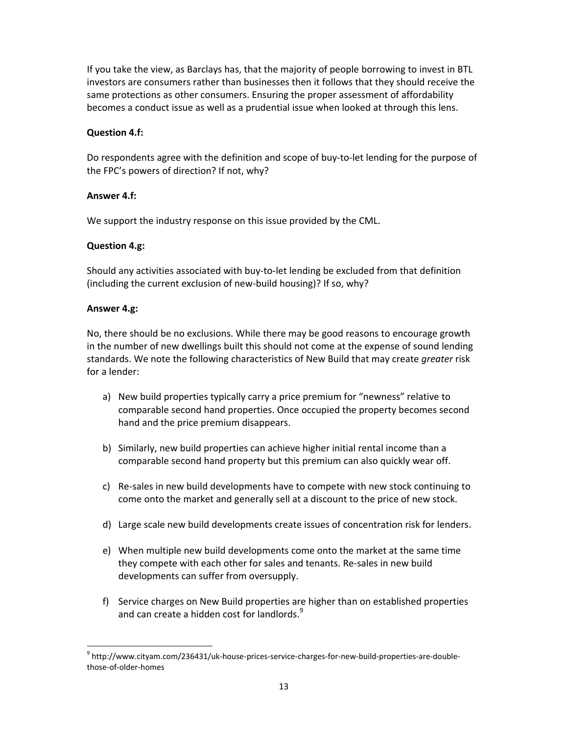If you take the view, as Barclays has, that the majority of people borrowing to invest in BTL investors are consumers rather than businesses then it follows that they should receive the same protections as other consumers. Ensuring the proper assessment of affordability becomes a conduct issue as well as a prudential issue when looked at through this lens.

#### **Question 4.f:**

Do respondents agree with the definition and scope of buy-to-let lending for the purpose of the FPC's powers of direction? If not, why?

#### **Answer 4.f:**

We support the industry response on this issue provided by the CML.

#### **Question 4.g:**

Should any activities associated with buy‐to‐let lending be excluded from that definition (including the current exclusion of new‐build housing)? If so, why?

#### **Answer 4.g:**

No, there should be no exclusions. While there may be good reasons to encourage growth in the number of new dwellings built this should not come at the expense of sound lending standards. We note the following characteristics of New Build that may create *greater* risk for a lender:

- a) New build properties typically carry a price premium for "newness" relative to comparable second hand properties. Once occupied the property becomes second hand and the price premium disappears.
- b) Similarly, new build properties can achieve higher initial rental income than a comparable second hand property but this premium can also quickly wear off.
- c) Re‐sales in new build developments have to compete with new stock continuing to come onto the market and generally sell at a discount to the price of new stock.
- d) Large scale new build developments create issues of concentration risk for lenders.
- e) When multiple new build developments come onto the market at the same time they compete with each other for sales and tenants. Re‐sales in new build developments can suffer from oversupply.
- f) Service charges on New Build properties are higher than on established properties and can create a hidden cost for landlords.<sup>9</sup>

<sup>&</sup>lt;sup>9</sup> http://www.cityam.com/236431/uk-house-prices-service-charges-for-new-build-properties-are-doublethose‐of‐older‐homes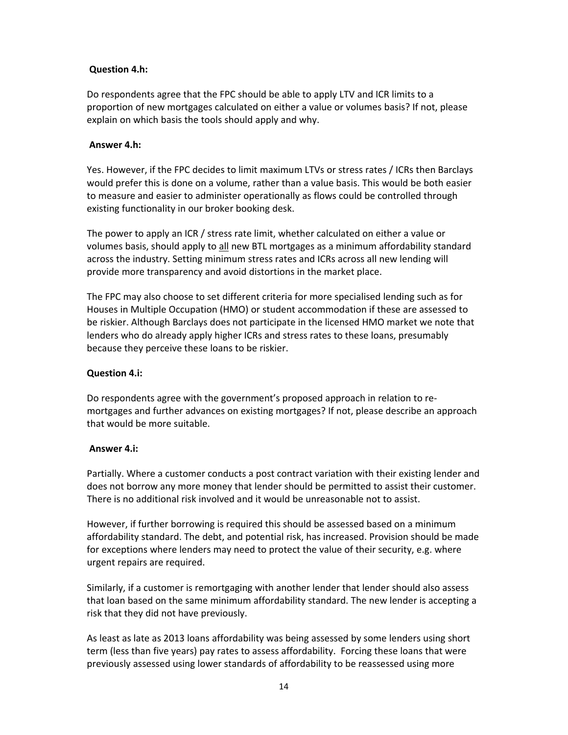# **Question 4.h:**

Do respondents agree that the FPC should be able to apply LTV and ICR limits to a proportion of new mortgages calculated on either a value or volumes basis? If not, please explain on which basis the tools should apply and why.

### **Answer 4.h:**

Yes. However, if the FPC decides to limit maximum LTVs or stress rates / ICRs then Barclays would prefer this is done on a volume, rather than a value basis. This would be both easier to measure and easier to administer operationally as flows could be controlled through existing functionality in our broker booking desk.

The power to apply an ICR / stress rate limit, whether calculated on either a value or volumes basis, should apply to all new BTL mortgages as a minimum affordability standard across the industry. Setting minimum stress rates and ICRs across all new lending will provide more transparency and avoid distortions in the market place.

The FPC may also choose to set different criteria for more specialised lending such as for Houses in Multiple Occupation (HMO) or student accommodation if these are assessed to be riskier. Although Barclays does not participate in the licensed HMO market we note that lenders who do already apply higher ICRs and stress rates to these loans, presumably because they perceive these loans to be riskier.

## **Question 4.i:**

Do respondents agree with the government's proposed approach in relation to re‐ mortgages and further advances on existing mortgages? If not, please describe an approach that would be more suitable.

### **Answer 4.i:**

Partially. Where a customer conducts a post contract variation with their existing lender and does not borrow any more money that lender should be permitted to assist their customer. There is no additional risk involved and it would be unreasonable not to assist.

However, if further borrowing is required this should be assessed based on a minimum affordability standard. The debt, and potential risk, has increased. Provision should be made for exceptions where lenders may need to protect the value of their security, e.g. where urgent repairs are required.

Similarly, if a customer is remortgaging with another lender that lender should also assess that loan based on the same minimum affordability standard. The new lender is accepting a risk that they did not have previously.

As least as late as 2013 loans affordability was being assessed by some lenders using short term (less than five years) pay rates to assess affordability. Forcing these loans that were previously assessed using lower standards of affordability to be reassessed using more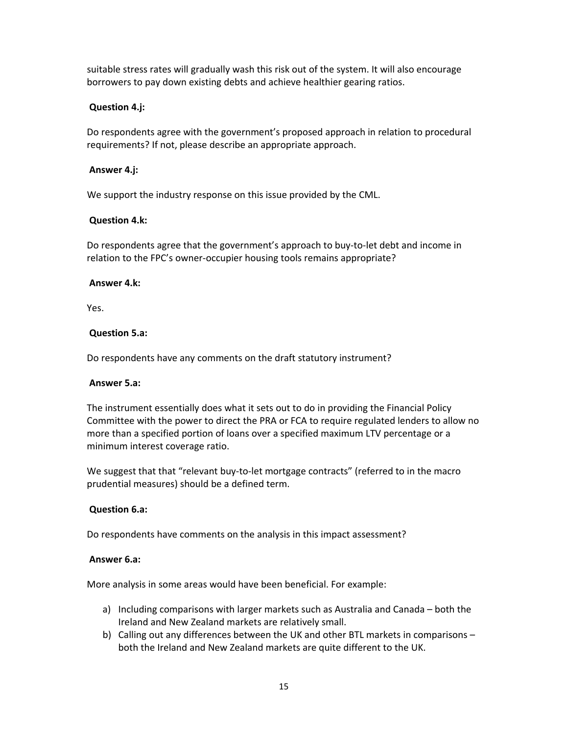suitable stress rates will gradually wash this risk out of the system. It will also encourage borrowers to pay down existing debts and achieve healthier gearing ratios.

## **Question 4.j:**

Do respondents agree with the government's proposed approach in relation to procedural requirements? If not, please describe an appropriate approach.

#### **Answer 4.j:**

We support the industry response on this issue provided by the CML.

#### **Question 4.k:**

Do respondents agree that the government's approach to buy‐to‐let debt and income in relation to the FPC's owner‐occupier housing tools remains appropriate?

#### **Answer 4.k:**

Yes.

#### **Question 5.a:**

Do respondents have any comments on the draft statutory instrument?

#### **Answer 5.a:**

The instrument essentially does what it sets out to do in providing the Financial Policy Committee with the power to direct the PRA or FCA to require regulated lenders to allow no more than a specified portion of loans over a specified maximum LTV percentage or a minimum interest coverage ratio.

We suggest that that "relevant buy-to-let mortgage contracts" (referred to in the macro prudential measures) should be a defined term.

#### **Question 6.a:**

Do respondents have comments on the analysis in this impact assessment?

#### **Answer 6.a:**

More analysis in some areas would have been beneficial. For example:

- a) Including comparisons with larger markets such as Australia and Canada both the Ireland and New Zealand markets are relatively small.
- b) Calling out any differences between the UK and other BTL markets in comparisons both the Ireland and New Zealand markets are quite different to the UK.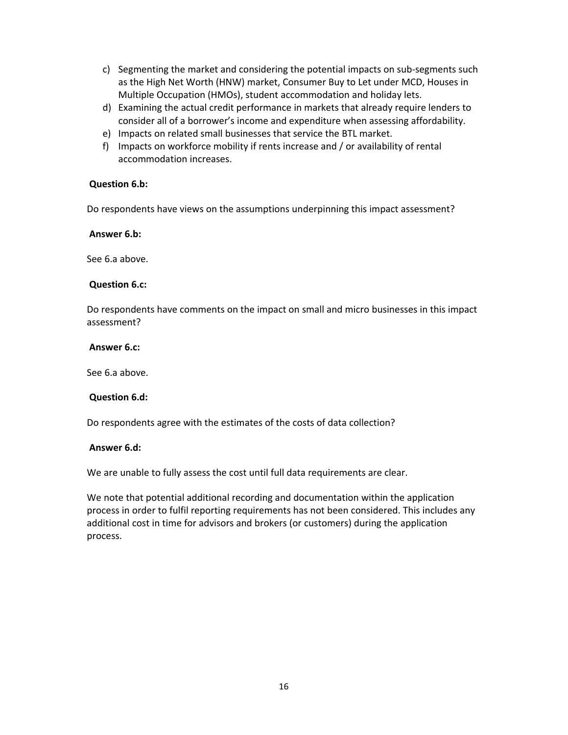- c) Segmenting the market and considering the potential impacts on sub‐segments such as the High Net Worth (HNW) market, Consumer Buy to Let under MCD, Houses in Multiple Occupation (HMOs), student accommodation and holiday lets.
- d) Examining the actual credit performance in markets that already require lenders to consider all of a borrower's income and expenditure when assessing affordability.
- e) Impacts on related small businesses that service the BTL market.
- f) Impacts on workforce mobility if rents increase and / or availability of rental accommodation increases.

#### **Question 6.b:**

Do respondents have views on the assumptions underpinning this impact assessment?

**Answer 6.b:**

See 6.a above.

#### **Question 6.c:**

Do respondents have comments on the impact on small and micro businesses in this impact assessment?

#### **Answer 6.c:**

See 6.a above.

### **Question 6.d:**

Do respondents agree with the estimates of the costs of data collection?

#### **Answer 6.d:**

We are unable to fully assess the cost until full data requirements are clear.

We note that potential additional recording and documentation within the application process in order to fulfil reporting requirements has not been considered. This includes any additional cost in time for advisors and brokers (or customers) during the application process.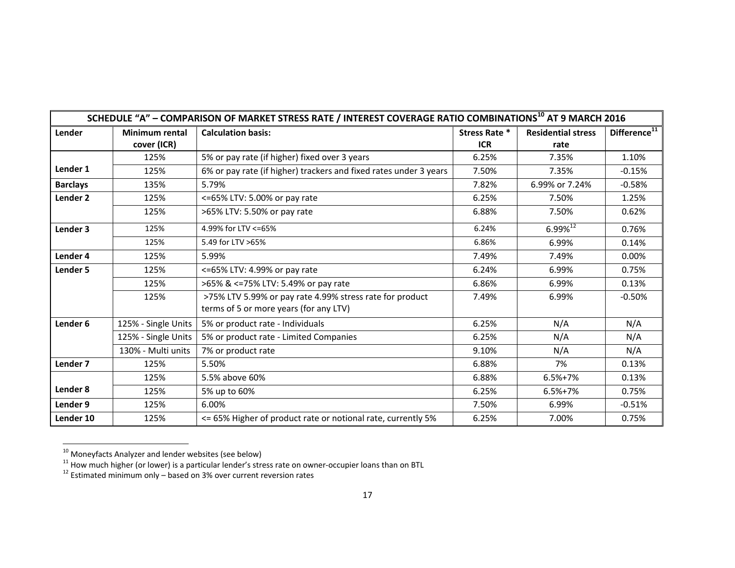| SCHEDULE "A" - COMPARISON OF MARKET STRESS RATE / INTEREST COVERAGE RATIO COMBINATIONS <sup>10</sup> AT 9 MARCH 2016 |                                                                  |                                                                   |               |                           |                          |  |  |
|----------------------------------------------------------------------------------------------------------------------|------------------------------------------------------------------|-------------------------------------------------------------------|---------------|---------------------------|--------------------------|--|--|
| Lender                                                                                                               | <b>Minimum rental</b>                                            | <b>Calculation basis:</b>                                         | Stress Rate * | <b>Residential stress</b> | Difference <sup>11</sup> |  |  |
|                                                                                                                      | cover (ICR)                                                      |                                                                   | <b>ICR</b>    | rate                      |                          |  |  |
|                                                                                                                      | 125%                                                             | 5% or pay rate (if higher) fixed over 3 years                     | 6.25%         | 7.35%                     | 1.10%                    |  |  |
| Lender 1                                                                                                             | 125%                                                             | 6% or pay rate (if higher) trackers and fixed rates under 3 years | 7.50%         | 7.35%                     | $-0.15%$                 |  |  |
| <b>Barclays</b>                                                                                                      | 135%                                                             | 5.79%                                                             | 7.82%         | 6.99% or 7.24%            | $-0.58%$                 |  |  |
| Lender <sub>2</sub>                                                                                                  | 125%                                                             | <=65% LTV: 5.00% or pay rate                                      | 6.25%         | 7.50%                     | 1.25%                    |  |  |
|                                                                                                                      | 125%                                                             | >65% LTV: 5.50% or pay rate                                       | 6.88%         | 7.50%                     | 0.62%                    |  |  |
| Lender 3                                                                                                             | 125%                                                             | 4.99% for LTV <= 65%                                              | 6.24%         | $6.99\%^{12}$             | 0.76%                    |  |  |
|                                                                                                                      | 125%                                                             | 5.49 for LTV >65%                                                 | 6.86%         | 6.99%                     | 0.14%                    |  |  |
| Lender 4                                                                                                             | 125%                                                             | 5.99%                                                             | 7.49%         | 7.49%                     | 0.00%                    |  |  |
| Lender 5                                                                                                             | 125%                                                             | <=65% LTV: 4.99% or pay rate                                      | 6.24%         | 6.99%                     | 0.75%                    |  |  |
|                                                                                                                      | 125%                                                             | >65% & <=75% LTV: 5.49% or pay rate                               | 6.86%         | 6.99%                     | 0.13%                    |  |  |
|                                                                                                                      | >75% LTV 5.99% or pay rate 4.99% stress rate for product<br>125% |                                                                   | 7.49%         | 6.99%                     | $-0.50%$                 |  |  |
|                                                                                                                      |                                                                  | terms of 5 or more years (for any LTV)                            |               |                           |                          |  |  |
| Lender <sub>6</sub>                                                                                                  | 125% - Single Units                                              | 5% or product rate - Individuals                                  | 6.25%         | N/A                       | N/A                      |  |  |
|                                                                                                                      | 125% - Single Units                                              | 5% or product rate - Limited Companies                            | 6.25%         | N/A                       | N/A                      |  |  |
|                                                                                                                      | 130% - Multi units                                               | 7% or product rate                                                | 9.10%         | N/A                       | N/A                      |  |  |
| Lender <sub>7</sub>                                                                                                  | 125%                                                             | 5.50%                                                             | 6.88%         | 7%                        | 0.13%                    |  |  |
|                                                                                                                      | 125%                                                             | 5.5% above 60%                                                    | 6.88%         | $6.5%+7%$                 | 0.13%                    |  |  |
| Lender 8                                                                                                             | 125%                                                             | 5% up to 60%                                                      | 6.25%         | $6.5% + 7%$               | 0.75%                    |  |  |
| Lender 9                                                                                                             | 125%                                                             | 6.00%                                                             | 7.50%         | 6.99%                     | $-0.51%$                 |  |  |
| Lender 10                                                                                                            | 125%                                                             | <= 65% Higher of product rate or notional rate, currently 5%      | 6.25%         | 7.00%                     | 0.75%                    |  |  |

<sup>&</sup>lt;sup>10</sup> Moneyfacts Analyzer and lender websites (see below)<br><sup>11</sup> How much higher (or lower) is a particular lender's stress rate on owner-occupier loans than on BTL<br><sup>12</sup> Estimated minimum only – based on 3% over current rever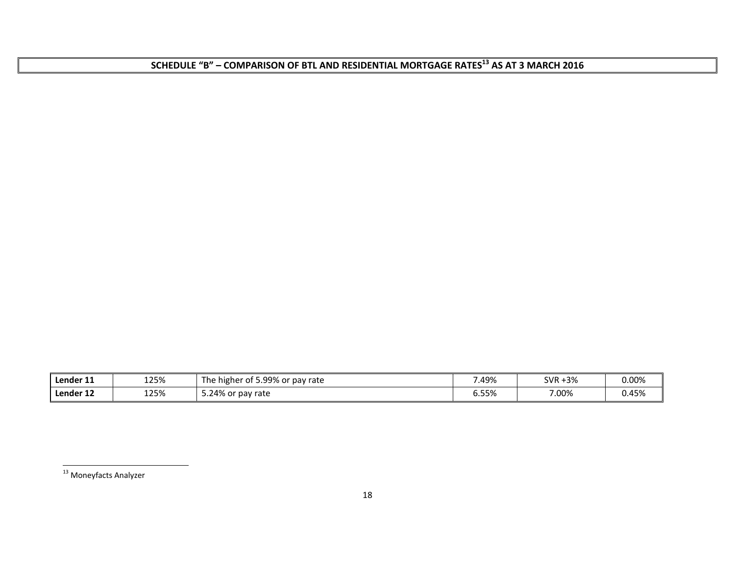**SCHEDULE "B" – COMPARISON OF BTL AND RESIDENTIAL MORTGAGE RATES<sup>13</sup> AS AT <sup>3</sup> MARCH <sup>2016</sup>**

| Lender 11 | 125% | i 5.99% or pav rate<br>⊺he<br>higher of | 49%!  | -3%<br><b>SVR</b> | $0.00\%$ |
|-----------|------|-----------------------------------------|-------|-------------------|----------|
| Lender 12 | 125% | 5.24% or pay rate                       | ა.55% | 7.00%             | 0.45%    |

<sup>&</sup>lt;sup>13</sup> Moneyfacts Analyzer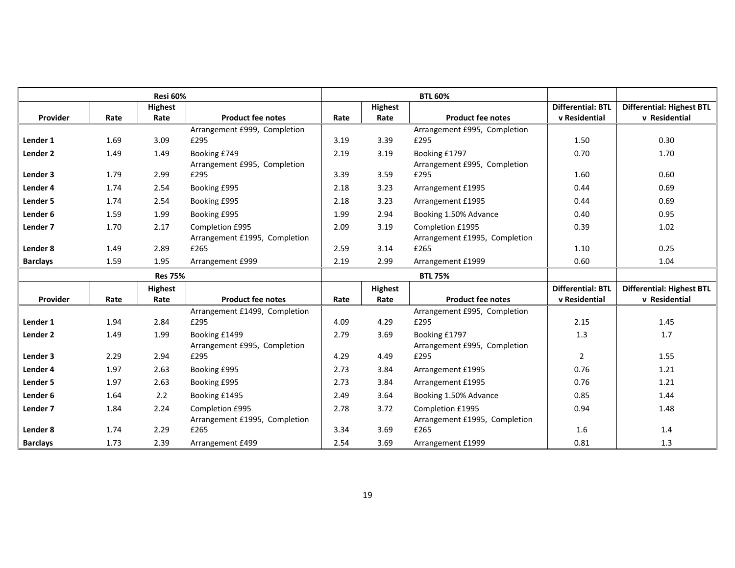|                     | <b>Resi 60%</b><br><b>BTL 60%</b> |                |                               |      |                |                               |                          |                                  |
|---------------------|-----------------------------------|----------------|-------------------------------|------|----------------|-------------------------------|--------------------------|----------------------------------|
|                     |                                   | <b>Highest</b> |                               |      | Highest        |                               | <b>Differential: BTL</b> | <b>Differential: Highest BTL</b> |
| Provider            | Rate                              | Rate           | <b>Product fee notes</b>      | Rate | Rate           | <b>Product fee notes</b>      | v Residential            | v Residential                    |
|                     |                                   |                | Arrangement £999, Completion  |      |                | Arrangement £995, Completion  |                          |                                  |
| Lender 1            | 1.69                              | 3.09           | £295                          | 3.19 | 3.39           | £295                          | 1.50                     | 0.30                             |
| Lender <sub>2</sub> | 1.49                              | 1.49           | Booking £749                  | 2.19 | 3.19           | Booking £1797                 | 0.70                     | 1.70                             |
|                     |                                   |                | Arrangement £995, Completion  |      |                | Arrangement £995, Completion  |                          |                                  |
| Lender 3            | 1.79                              | 2.99           | £295                          | 3.39 | 3.59           | £295                          | 1.60                     | 0.60                             |
| Lender 4            | 1.74                              | 2.54           | Booking £995                  | 2.18 | 3.23           | Arrangement £1995             | 0.44                     | 0.69                             |
| Lender 5            | 1.74                              | 2.54           | Booking £995                  | 2.18 | 3.23           | Arrangement £1995             | 0.44                     | 0.69                             |
| Lender 6            | 1.59                              | 1.99           | Booking £995                  | 1.99 | 2.94           | Booking 1.50% Advance         | 0.40                     | 0.95                             |
| Lender <sub>7</sub> | 1.70                              | 2.17           | Completion £995               | 2.09 | 3.19           | Completion £1995              | 0.39                     | 1.02                             |
|                     |                                   |                | Arrangement £1995, Completion |      |                | Arrangement £1995, Completion |                          |                                  |
| Lender 8            | 1.49                              | 2.89           | £265                          | 2.59 | 3.14           | £265                          | 1.10                     | 0.25                             |
| <b>Barclays</b>     | 1.59                              | 1.95           | Arrangement £999              | 2.19 | 2.99           | Arrangement £1999             | 0.60                     | 1.04                             |
|                     |                                   | <b>Res 75%</b> |                               |      |                | <b>BTL 75%</b>                |                          |                                  |
|                     |                                   | <b>Highest</b> |                               |      | <b>Highest</b> |                               | <b>Differential: BTL</b> | <b>Differential: Highest BTL</b> |
| Provider            | Rate                              | Rate           | <b>Product fee notes</b>      | Rate | Rate           | <b>Product fee notes</b>      | v Residential            | v Residential                    |
|                     |                                   |                | Arrangement £1499, Completion |      |                | Arrangement £995, Completion  |                          |                                  |
| Lender 1            | 1.94                              | 2.84           | £295                          | 4.09 | 4.29           | £295                          | 2.15                     | 1.45                             |
| Lender <sub>2</sub> | 1.49                              | 1.99           | Booking £1499                 | 2.79 | 3.69           | Booking £1797                 | 1.3                      | 1.7                              |
|                     |                                   |                | Arrangement £995, Completion  |      |                | Arrangement £995, Completion  |                          |                                  |
| Lender 3            | 2.29                              | 2.94           | £295                          | 4.29 | 4.49           | £295                          | $\overline{2}$           | 1.55                             |
| Lender 4            | 1.97                              | 2.63           | Booking £995                  | 2.73 | 3.84           | Arrangement £1995             | 0.76                     | 1.21                             |
| Lender 5            | 1.97                              | 2.63           | Booking £995                  | 2.73 | 3.84           | Arrangement £1995             | 0.76                     | 1.21                             |
| Lender 6            | 1.64                              | 2.2            | Booking £1495                 | 2.49 | 3.64           | Booking 1.50% Advance         | 0.85                     | 1.44                             |
| Lender 7            | 1.84                              | 2.24           | Completion £995               | 2.78 | 3.72           | Completion £1995              | 0.94                     | 1.48                             |
|                     |                                   |                | Arrangement £1995, Completion |      |                | Arrangement £1995, Completion |                          |                                  |
| Lender 8            | 1.74                              | 2.29           | £265                          | 3.34 | 3.69           | £265                          | 1.6                      | 1.4                              |
| <b>Barclays</b>     | 1.73                              | 2.39           | Arrangement £499              | 2.54 | 3.69           | Arrangement £1999             | 0.81                     | 1.3                              |